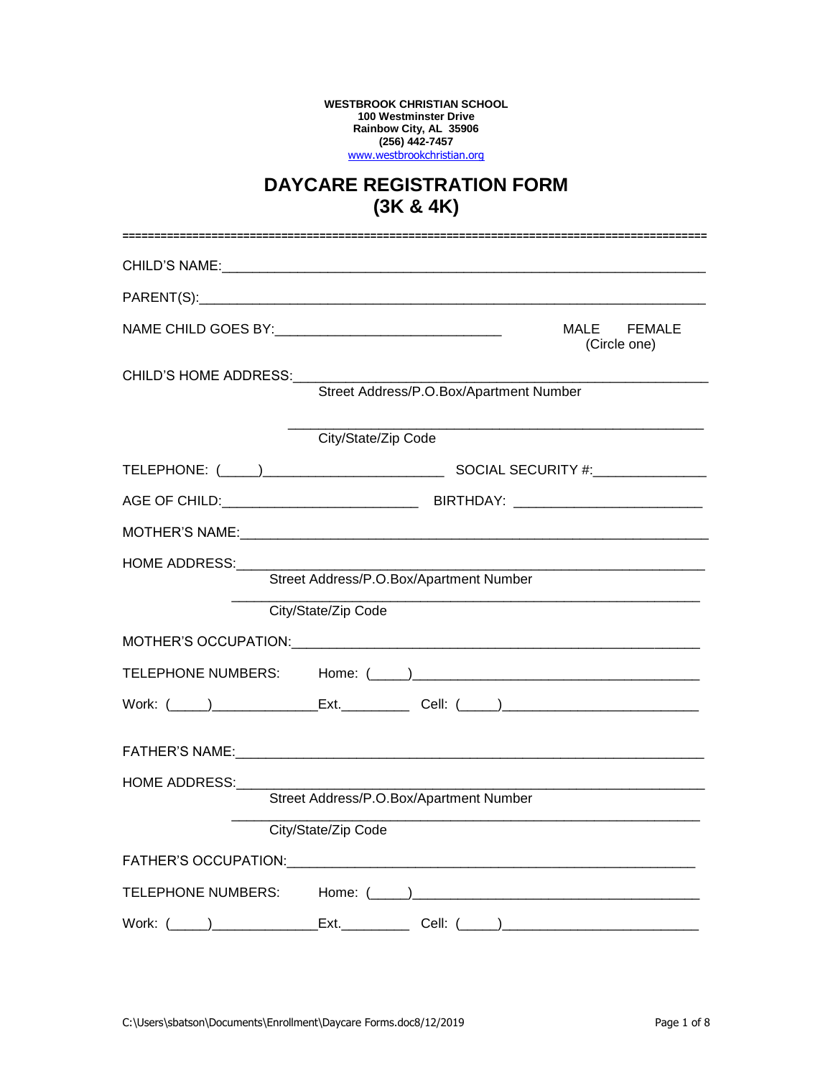**WESTBROOK CHRISTIAN SCHOOL 100 Westminster Drive Rainbow City, AL 35906 (256) 442-7457** [www.westbrookchristian.org](http://www.westbrookchristian.org/)

## **DAYCARE REGISTRATION FORM (3K & 4K)**

|                                                                  |                                                                                  | MALE FEMALE<br>(Circle one) |  |
|------------------------------------------------------------------|----------------------------------------------------------------------------------|-----------------------------|--|
| CHILD'S HOME ADDRESS:<br>Street Address/P.O.Box/Apartment Number |                                                                                  |                             |  |
|                                                                  | City/State/Zip Code                                                              |                             |  |
|                                                                  |                                                                                  |                             |  |
|                                                                  |                                                                                  |                             |  |
|                                                                  |                                                                                  |                             |  |
| <b>HOME ADDRESS:</b><br>Street Address/P.O.Box/Apartment Number  |                                                                                  |                             |  |
|                                                                  | City/State/Zip Code                                                              |                             |  |
|                                                                  |                                                                                  |                             |  |
|                                                                  |                                                                                  |                             |  |
|                                                                  | Work: (_____)________________Ext.____________Cell: (_____)______________________ |                             |  |
|                                                                  |                                                                                  |                             |  |
| HOME ADDRESS:                                                    |                                                                                  |                             |  |
|                                                                  | Street Address/P.O.Box/Apartment Number                                          |                             |  |
|                                                                  | City/State/Zip Code                                                              |                             |  |
|                                                                  |                                                                                  |                             |  |
|                                                                  |                                                                                  |                             |  |
|                                                                  | Ext._____________Cell: (_____)___________________________                        |                             |  |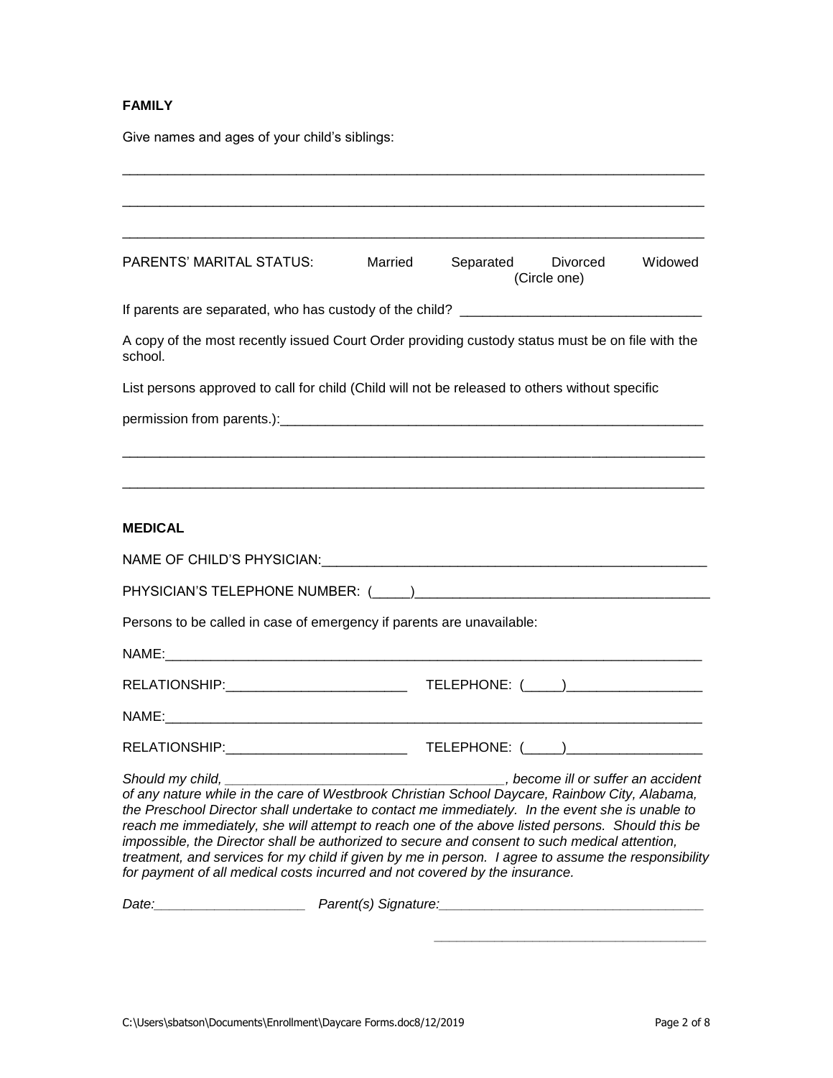### **FAMILY**

Give names and ages of your child's siblings:

| PARENTS' MARITAL STATUS:                                                                                                                                                                                                                                                                                                                                                                                                                                                                                                                                                                                                                                                                                                                                                                                                         | Married | Separated Divorced<br>(Circle one) | Widowed |
|----------------------------------------------------------------------------------------------------------------------------------------------------------------------------------------------------------------------------------------------------------------------------------------------------------------------------------------------------------------------------------------------------------------------------------------------------------------------------------------------------------------------------------------------------------------------------------------------------------------------------------------------------------------------------------------------------------------------------------------------------------------------------------------------------------------------------------|---------|------------------------------------|---------|
|                                                                                                                                                                                                                                                                                                                                                                                                                                                                                                                                                                                                                                                                                                                                                                                                                                  |         |                                    |         |
| A copy of the most recently issued Court Order providing custody status must be on file with the<br>school.                                                                                                                                                                                                                                                                                                                                                                                                                                                                                                                                                                                                                                                                                                                      |         |                                    |         |
| List persons approved to call for child (Child will not be released to others without specific                                                                                                                                                                                                                                                                                                                                                                                                                                                                                                                                                                                                                                                                                                                                   |         |                                    |         |
|                                                                                                                                                                                                                                                                                                                                                                                                                                                                                                                                                                                                                                                                                                                                                                                                                                  |         |                                    |         |
|                                                                                                                                                                                                                                                                                                                                                                                                                                                                                                                                                                                                                                                                                                                                                                                                                                  |         |                                    |         |
| <b>MEDICAL</b>                                                                                                                                                                                                                                                                                                                                                                                                                                                                                                                                                                                                                                                                                                                                                                                                                   |         |                                    |         |
|                                                                                                                                                                                                                                                                                                                                                                                                                                                                                                                                                                                                                                                                                                                                                                                                                                  |         |                                    |         |
|                                                                                                                                                                                                                                                                                                                                                                                                                                                                                                                                                                                                                                                                                                                                                                                                                                  |         |                                    |         |
| Persons to be called in case of emergency if parents are unavailable:                                                                                                                                                                                                                                                                                                                                                                                                                                                                                                                                                                                                                                                                                                                                                            |         |                                    |         |
|                                                                                                                                                                                                                                                                                                                                                                                                                                                                                                                                                                                                                                                                                                                                                                                                                                  |         |                                    |         |
|                                                                                                                                                                                                                                                                                                                                                                                                                                                                                                                                                                                                                                                                                                                                                                                                                                  |         |                                    |         |
|                                                                                                                                                                                                                                                                                                                                                                                                                                                                                                                                                                                                                                                                                                                                                                                                                                  |         |                                    |         |
|                                                                                                                                                                                                                                                                                                                                                                                                                                                                                                                                                                                                                                                                                                                                                                                                                                  |         |                                    |         |
| of any nature while in the care of Westbrook Christian School Daycare, Rainbow City, Alabama,<br>the Preschool Director shall undertake to contact me immediately. In the event she is unable to<br>reach me immediately, she will attempt to reach one of the above listed persons. Should this be<br>impossible, the Director shall be authorized to secure and consent to such medical attention,<br>treatment, and services for my child if given by me in person. I agree to assume the responsibility<br>for payment of all medical costs incurred and not covered by the insurance.<br>Date: <u>compare and contract parent</u> parent (s) Signature: contract parameters and contract parameters are contract parameters and contract parameters and contract parameters are contract parameters and contract parameters |         |                                    |         |
|                                                                                                                                                                                                                                                                                                                                                                                                                                                                                                                                                                                                                                                                                                                                                                                                                                  |         |                                    |         |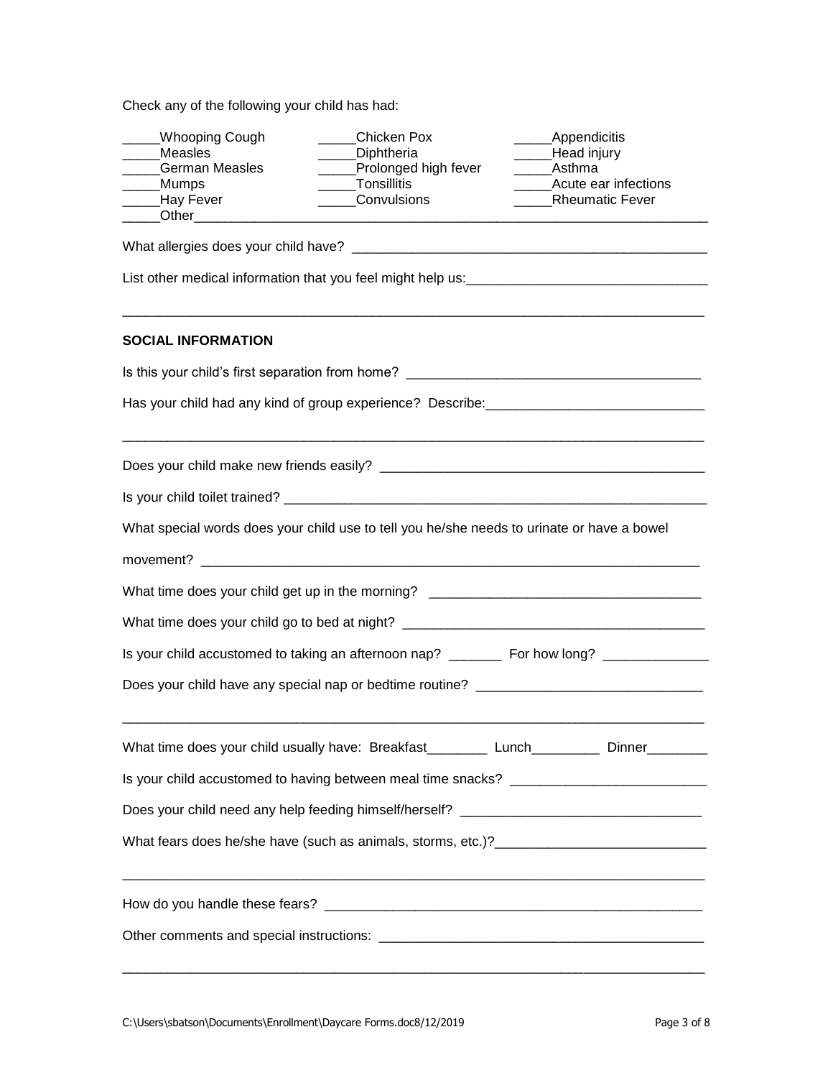Check any of the following your child has had:

| <b>Whooping Cough</b><br>Measles<br><b>German Measles</b><br>Mumps_<br>_Hay Fever<br>Other the contract of the contract of the contract of the contract of the contract of the contract of the contract of the contract of the contract of the contract of the contract of the contract of the contract of the cont | Chicken Pox<br>Diphtheria<br>Prolonged high fever<br>Tonsillitis<br>Convulsions            | _Appendicitis<br>Head injury<br>Asthma<br>Acute ear infections<br><b>Rheumatic Fever</b> |  |  |  |
|---------------------------------------------------------------------------------------------------------------------------------------------------------------------------------------------------------------------------------------------------------------------------------------------------------------------|--------------------------------------------------------------------------------------------|------------------------------------------------------------------------------------------|--|--|--|
|                                                                                                                                                                                                                                                                                                                     |                                                                                            |                                                                                          |  |  |  |
|                                                                                                                                                                                                                                                                                                                     |                                                                                            |                                                                                          |  |  |  |
| <b>SOCIAL INFORMATION</b>                                                                                                                                                                                                                                                                                           |                                                                                            |                                                                                          |  |  |  |
|                                                                                                                                                                                                                                                                                                                     |                                                                                            |                                                                                          |  |  |  |
| Has your child had any kind of group experience? Describe: ______________________                                                                                                                                                                                                                                   |                                                                                            |                                                                                          |  |  |  |
|                                                                                                                                                                                                                                                                                                                     |                                                                                            |                                                                                          |  |  |  |
|                                                                                                                                                                                                                                                                                                                     |                                                                                            |                                                                                          |  |  |  |
|                                                                                                                                                                                                                                                                                                                     | What special words does your child use to tell you he/she needs to urinate or have a bowel |                                                                                          |  |  |  |
|                                                                                                                                                                                                                                                                                                                     |                                                                                            |                                                                                          |  |  |  |
|                                                                                                                                                                                                                                                                                                                     | What time does your child get up in the morning? _______________________________           |                                                                                          |  |  |  |
| What time does your child go to bed at night? __________________________________                                                                                                                                                                                                                                    |                                                                                            |                                                                                          |  |  |  |
|                                                                                                                                                                                                                                                                                                                     |                                                                                            |                                                                                          |  |  |  |
| Does your child have any special nap or bedtime routine? _______________________                                                                                                                                                                                                                                    |                                                                                            |                                                                                          |  |  |  |
|                                                                                                                                                                                                                                                                                                                     |                                                                                            |                                                                                          |  |  |  |
|                                                                                                                                                                                                                                                                                                                     |                                                                                            |                                                                                          |  |  |  |
| Does your child need any help feeding himself/herself? _________________________                                                                                                                                                                                                                                    |                                                                                            |                                                                                          |  |  |  |
|                                                                                                                                                                                                                                                                                                                     |                                                                                            |                                                                                          |  |  |  |
|                                                                                                                                                                                                                                                                                                                     |                                                                                            |                                                                                          |  |  |  |
|                                                                                                                                                                                                                                                                                                                     |                                                                                            |                                                                                          |  |  |  |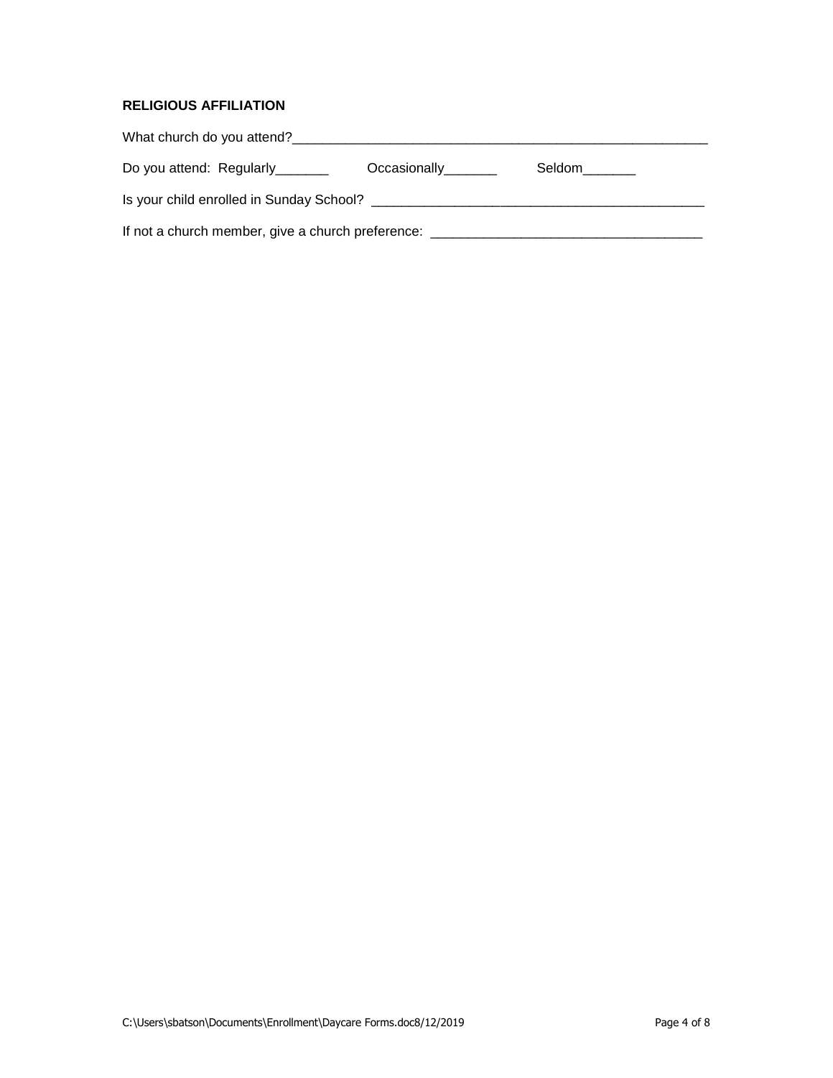#### **RELIGIOUS AFFILIATION**

| Do you attend: Regularly                          | Occasionally________ | Seldom |  |  |
|---------------------------------------------------|----------------------|--------|--|--|
|                                                   |                      |        |  |  |
| If not a church member, give a church preference: |                      |        |  |  |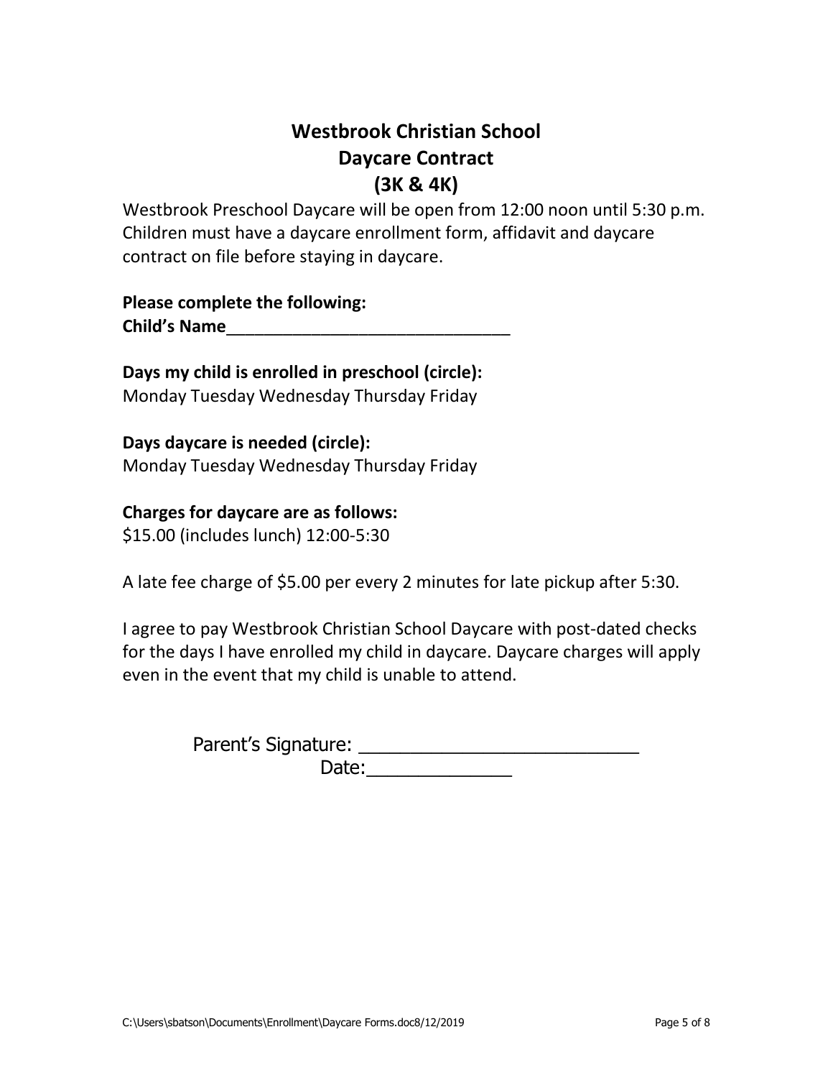# **Westbrook Christian School Daycare Contract (3K & 4K)**

Westbrook Preschool Daycare will be open from 12:00 noon until 5:30 p.m. Children must have a daycare enrollment form, affidavit and daycare contract on file before staying in daycare.

**Please complete the following: Child's Name**\_\_\_\_\_\_\_\_\_\_\_\_\_\_\_\_\_\_\_\_\_\_\_\_\_\_\_\_\_\_

**Days my child is enrolled in preschool (circle):**  Monday Tuesday Wednesday Thursday Friday

**Days daycare is needed (circle):**  Monday Tuesday Wednesday Thursday Friday

### **Charges for daycare are as follows:**

\$15.00 (includes lunch) 12:00-5:30

A late fee charge of \$5.00 per every 2 minutes for late pickup after 5:30.

I agree to pay Westbrook Christian School Daycare with post-dated checks for the days I have enrolled my child in daycare. Daycare charges will apply even in the event that my child is unable to attend.

> Parent's Signature: \_\_\_\_\_\_\_\_\_\_\_\_\_\_\_\_\_\_\_\_\_\_\_\_\_\_\_ Date:  $\frac{1}{\sqrt{1-\frac{1}{2}}}\frac{1}{\sqrt{1-\frac{1}{2}}}\frac{1}{\sqrt{1-\frac{1}{2}}}\frac{1}{\sqrt{1-\frac{1}{2}}}\frac{1}{\sqrt{1-\frac{1}{2}}}\frac{1}{\sqrt{1-\frac{1}{2}}}\frac{1}{\sqrt{1-\frac{1}{2}}}\frac{1}{\sqrt{1-\frac{1}{2}}}\frac{1}{\sqrt{1-\frac{1}{2}}}\frac{1}{\sqrt{1-\frac{1}{2}}}\frac{1}{\sqrt{1-\frac{1}{2}}}\frac{1}{\sqrt{1-\frac{1}{2}}}\frac{1}{\sqrt{1-\frac{1}{2}}}\frac{1}{\$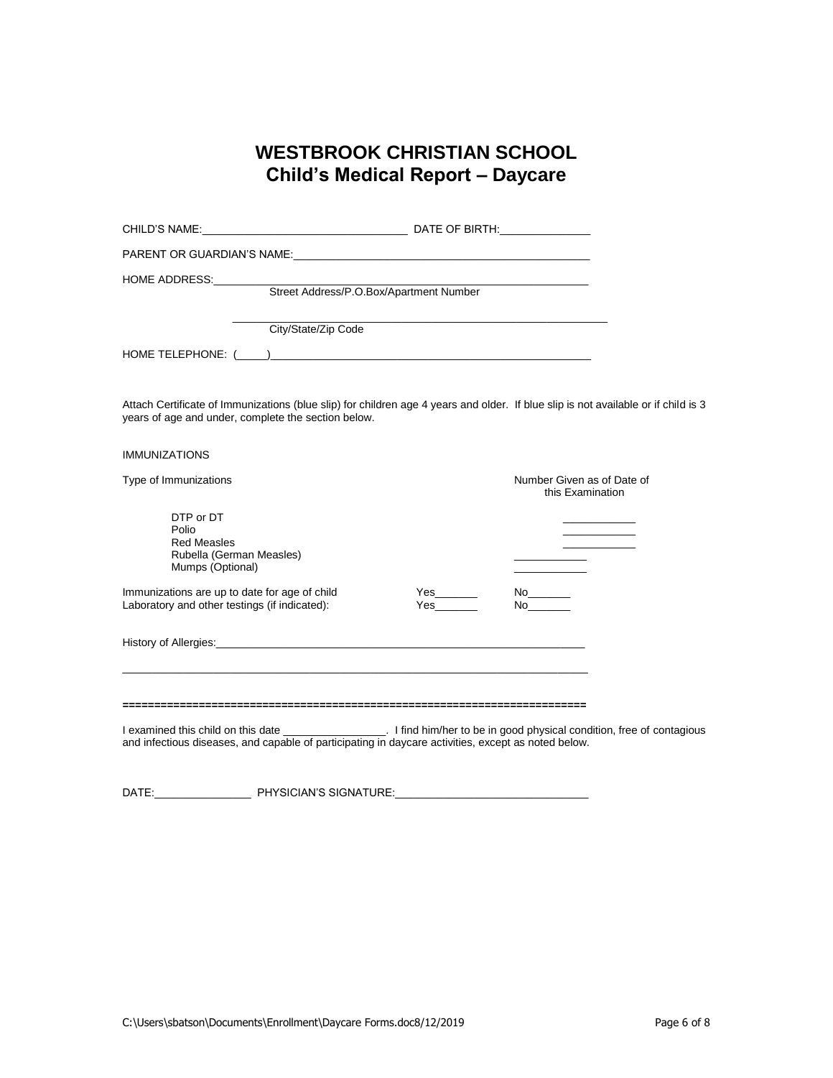## **WESTBROOK CHRISTIAN SCHOOL Child's Medical Report – Daycare**

| Street Address/P.O.Box/Apartment Number                                                                                                                                                   |                                                |
|-------------------------------------------------------------------------------------------------------------------------------------------------------------------------------------------|------------------------------------------------|
| City/State/Zip Code<br>HOME TELEPHONE: $(\_\_\_\_)$                                                                                                                                       |                                                |
| Attach Certificate of Immunizations (blue slip) for children age 4 years and older. If blue slip is not available or if child is 3<br>years of age and under, complete the section below. |                                                |
| <b>IMMUNIZATIONS</b>                                                                                                                                                                      |                                                |
| Type of Immunizations                                                                                                                                                                     | Number Given as of Date of<br>this Examination |
| DTP or DT<br>Polio<br><b>Red Measles</b><br>Rubella (German Measles)<br>Mumps (Optional)                                                                                                  |                                                |
| Immunizations are up to date for age of child<br>Laboratory and other testings (if indicated):                                                                                            | No<br>Yes<br>No control de la contrad          |
|                                                                                                                                                                                           |                                                |
|                                                                                                                                                                                           |                                                |
| and infectious diseases, and capable of participating in daycare activities, except as noted below.                                                                                       |                                                |

DATE:\_\_\_\_\_\_\_\_\_\_\_\_\_\_\_\_ PHYSICIAN'S SIGNATURE:\_\_\_\_\_\_\_\_\_\_\_\_\_\_\_\_\_\_\_\_\_\_\_\_\_\_\_\_\_\_\_\_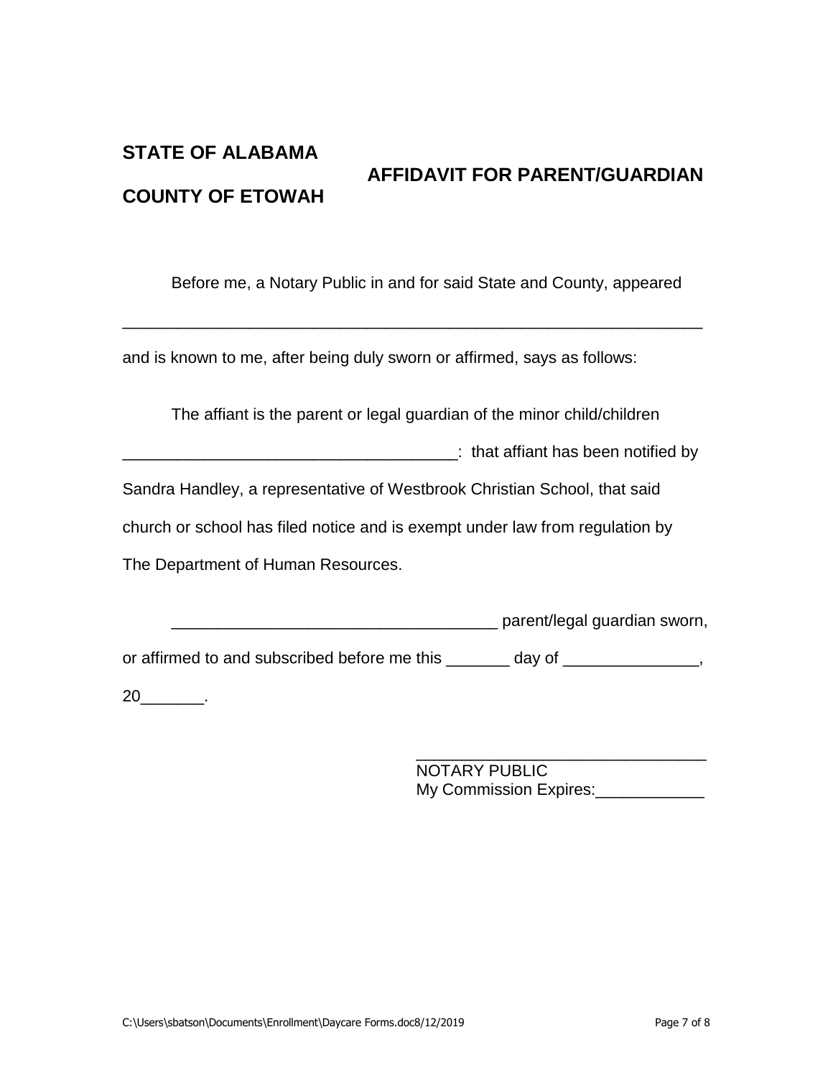## **STATE OF ALABAMA AFFIDAVIT FOR PARENT/GUARDIAN COUNTY OF ETOWAH**

Before me, a Notary Public in and for said State and County, appeared

and is known to me, after being duly sworn or affirmed, says as follows:

The affiant is the parent or legal guardian of the minor child/children

\_\_\_\_\_\_\_\_\_\_\_\_\_\_\_\_\_\_\_\_\_\_\_\_\_\_\_\_\_\_\_\_\_\_\_\_\_\_\_\_\_\_\_\_\_\_\_\_\_\_\_\_\_\_\_\_\_\_\_\_\_\_\_\_

\_\_\_\_\_\_\_\_\_\_\_\_\_\_\_\_\_\_\_\_\_\_\_\_\_\_\_\_\_\_\_\_\_\_\_\_\_: that affiant has been notified by

Sandra Handley, a representative of Westbrook Christian School, that said

church or school has filed notice and is exempt under law from regulation by

The Department of Human Resources.

\_\_\_\_\_\_\_\_\_\_\_\_\_\_\_\_\_\_\_\_\_\_\_\_\_\_\_\_\_\_\_\_\_\_\_\_ parent/legal guardian sworn,

or affirmed to and subscribed before me this \_\_\_\_\_\_\_ day of \_\_\_\_\_\_\_\_\_\_\_\_\_\_,

20\_\_\_\_\_\_\_.

\_\_\_\_\_\_\_\_\_\_\_\_\_\_\_\_\_\_\_\_\_\_\_\_\_\_\_\_\_\_\_\_ NOTARY PUBLIC My Commission Expires: 2008